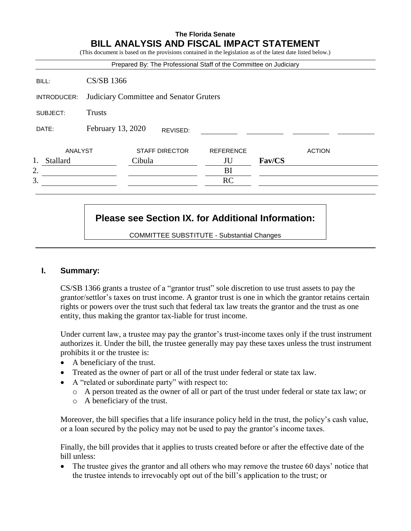# **The Florida Senate BILL ANALYSIS AND FISCAL IMPACT STATEMENT**

(This document is based on the provisions contained in the legislation as of the latest date listed below.)

|             |                                         | Prepared By: The Professional Staff of the Committee on Judiciary |                  |        |               |
|-------------|-----------------------------------------|-------------------------------------------------------------------|------------------|--------|---------------|
| BILL:       | CS/SB 1366                              |                                                                   |                  |        |               |
| INTRODUCER: | Judiciary Committee and Senator Gruters |                                                                   |                  |        |               |
| SUBJECT:    | <b>Trusts</b>                           |                                                                   |                  |        |               |
| DATE:       | February 13, 2020                       | REVISED:                                                          |                  |        |               |
| ANALYST     |                                         | <b>STAFF DIRECTOR</b>                                             | <b>REFERENCE</b> |        | <b>ACTION</b> |
| Stallard    |                                         | Cibula                                                            | JU               | Fav/CS |               |
| 2.          |                                         |                                                                   | BI               |        |               |
| 3.          |                                         |                                                                   | <b>RC</b>        |        |               |

# **Please see Section IX. for Additional Information:**

COMMITTEE SUBSTITUTE - Substantial Changes

# **I. Summary:**

CS/SB 1366 grants a trustee of a "grantor trust" sole discretion to use trust assets to pay the grantor/settlor's taxes on trust income. A grantor trust is one in which the grantor retains certain rights or powers over the trust such that federal tax law treats the grantor and the trust as one entity, thus making the grantor tax-liable for trust income.

Under current law, a trustee may pay the grantor's trust-income taxes only if the trust instrument authorizes it. Under the bill, the trustee generally may pay these taxes unless the trust instrument prohibits it or the trustee is:

- A beneficiary of the trust.
- Treated as the owner of part or all of the trust under federal or state tax law.
- A "related or subordinate party" with respect to:
	- o A person treated as the owner of all or part of the trust under federal or state tax law; or
	- o A beneficiary of the trust.

Moreover, the bill specifies that a life insurance policy held in the trust, the policy's cash value, or a loan secured by the policy may not be used to pay the grantor's income taxes.

Finally, the bill provides that it applies to trusts created before or after the effective date of the bill unless:

 The trustee gives the grantor and all others who may remove the trustee 60 days' notice that the trustee intends to irrevocably opt out of the bill's application to the trust; or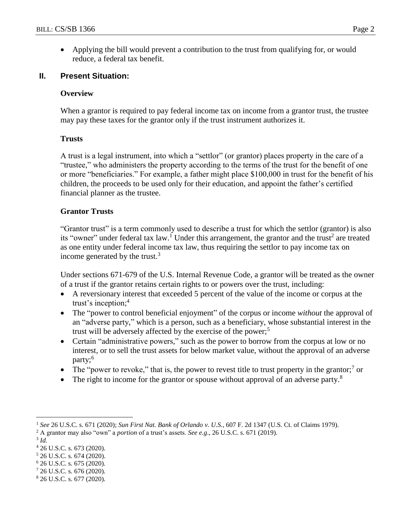Applying the bill would prevent a contribution to the trust from qualifying for, or would reduce, a federal tax benefit.

# **II. Present Situation:**

# **Overview**

When a grantor is required to pay federal income tax on income from a grantor trust, the trustee may pay these taxes for the grantor only if the trust instrument authorizes it.

# **Trusts**

A trust is a legal instrument, into which a "settlor" (or grantor) places property in the care of a "trustee," who administers the property according to the terms of the trust for the benefit of one or more "beneficiaries." For example, a father might place \$100,000 in trust for the benefit of his children, the proceeds to be used only for their education, and appoint the father's certified financial planner as the trustee.

# **Grantor Trusts**

"Grantor trust" is a term commonly used to describe a trust for which the settlor (grantor) is also its "owner" under federal tax law.<sup>1</sup> Under this arrangement, the grantor and the trust<sup>2</sup> are treated as one entity under federal income tax law, thus requiring the settlor to pay income tax on income generated by the trust. $3$ 

Under sections 671-679 of the U.S. Internal Revenue Code, a grantor will be treated as the owner of a trust if the grantor retains certain rights to or powers over the trust, including:

- A reversionary interest that exceeded 5 percent of the value of the income or corpus at the trust's inception; $4$
- The "power to control beneficial enjoyment" of the corpus or income *without* the approval of an "adverse party," which is a person, such as a beneficiary, whose substantial interest in the trust will be adversely affected by the exercise of the power; 5
- Certain "administrative powers," such as the power to borrow from the corpus at low or no interest, or to sell the trust assets for below market value, without the approval of an adverse party;<sup>6</sup>
- The "power to revoke," that is, the power to revest title to trust property in the grantor;<sup>7</sup> or
- $\bullet$  The right to income for the grantor or spouse without approval of an adverse party.<sup>8</sup>

3 *Id.*

 $\overline{a}$ 

<sup>7</sup> 26 U.S.C. s. 676 (2020).

<sup>1</sup> *See* 26 U.S.C. s. 671 (2020); *Sun First Nat. Bank of Orlando v. U.S.,* 607 F. 2d 1347 (U.S. Ct. of Claims 1979).

<sup>2</sup> A grantor may also "own" a *portion* of a trust's assets. *See e.g*., 26 U.S.C. s. 671 (2019).

<sup>4</sup> 26 U.S.C. s. 673 (2020).

<sup>5</sup> 26 U.S.C. s. 674 (2020).

 $6$  26 U.S.C. s. 675 (2020).

<sup>8</sup> 26 U.S.C. s. 677 (2020).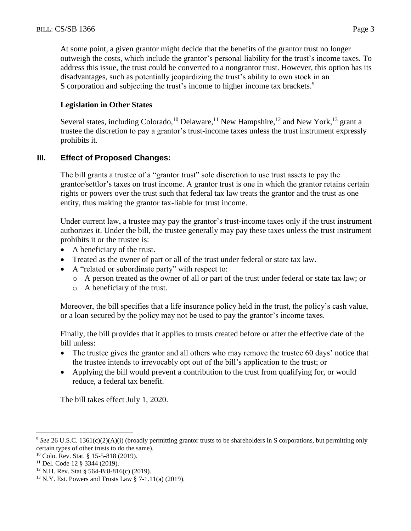At some point, a given grantor might decide that the benefits of the grantor trust no longer outweigh the costs, which include the grantor's personal liability for the trust's income taxes. To address this issue, the trust could be converted to a nongrantor trust. However, this option has its disadvantages, such as potentially jeopardizing the trust's ability to own stock in an S corporation and subjecting the trust's income to higher income tax brackets.<sup>9</sup>

### **Legislation in Other States**

Several states, including Colorado,<sup>10</sup> Delaware,<sup>11</sup> New Hampshire,<sup>12</sup> and New York,<sup>13</sup> grant a trustee the discretion to pay a grantor's trust-income taxes unless the trust instrument expressly prohibits it.

# **III. Effect of Proposed Changes:**

The bill grants a trustee of a "grantor trust" sole discretion to use trust assets to pay the grantor/settlor's taxes on trust income. A grantor trust is one in which the grantor retains certain rights or powers over the trust such that federal tax law treats the grantor and the trust as one entity, thus making the grantor tax-liable for trust income.

Under current law, a trustee may pay the grantor's trust-income taxes only if the trust instrument authorizes it. Under the bill, the trustee generally may pay these taxes unless the trust instrument prohibits it or the trustee is:

- A beneficiary of the trust.
- Treated as the owner of part or all of the trust under federal or state tax law.
- A "related or subordinate party" with respect to:
	- o A person treated as the owner of all or part of the trust under federal or state tax law; or
	- o A beneficiary of the trust.

Moreover, the bill specifies that a life insurance policy held in the trust, the policy's cash value, or a loan secured by the policy may not be used to pay the grantor's income taxes.

Finally, the bill provides that it applies to trusts created before or after the effective date of the bill unless:

- The trustee gives the grantor and all others who may remove the trustee 60 days' notice that the trustee intends to irrevocably opt out of the bill's application to the trust; or
- Applying the bill would prevent a contribution to the trust from qualifying for, or would reduce, a federal tax benefit.

The bill takes effect July 1, 2020.

 $\overline{a}$ <sup>9</sup> *See* 26 U.S.C. 1361(c)(2)(A)(i) (broadly permitting grantor trusts to be shareholders in S corporations, but permitting only certain types of other trusts to do the same).

<sup>10</sup> Colo. Rev. Stat. § 15-5-818 (2019).

<sup>11</sup> Del. Code 12 § 3344 (2019).

<sup>12</sup> N.H. Rev. Stat § 564-B:8-816(c) (2019).

<sup>13</sup> N.Y. Est. Powers and Trusts Law § 7-1.11(a) (2019).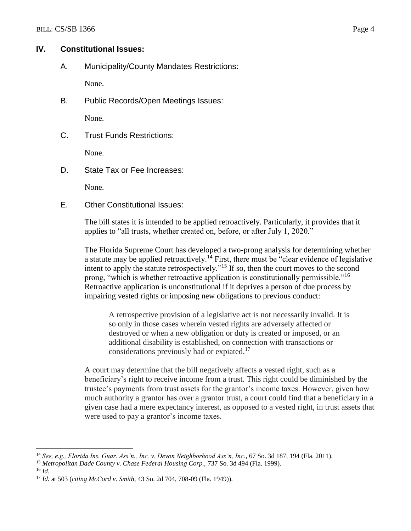### **IV. Constitutional Issues:**

A. Municipality/County Mandates Restrictions:

None.

B. Public Records/Open Meetings Issues:

None.

C. Trust Funds Restrictions:

None.

D. State Tax or Fee Increases:

None.

E. Other Constitutional Issues:

The bill states it is intended to be applied retroactively. Particularly, it provides that it applies to "all trusts, whether created on, before, or after July 1, 2020."

The Florida Supreme Court has developed a two-prong analysis for determining whether a statute may be applied retroactively.<sup>14</sup> First, there must be "clear evidence of legislative" intent to apply the statute retrospectively."<sup>15</sup> If so, then the court moves to the second prong, "which is whether retroactive application is constitutionally permissible."<sup>16</sup> Retroactive application is unconstitutional if it deprives a person of due process by impairing vested rights or imposing new obligations to previous conduct:

A retrospective provision of a legislative act is not necessarily invalid. It is so only in those cases wherein vested rights are adversely affected or destroyed or when a new obligation or duty is created or imposed, or an additional disability is established, on connection with transactions or considerations previously had or expiated.<sup>17</sup>

A court may determine that the bill negatively affects a vested right, such as a beneficiary's right to receive income from a trust. This right could be diminished by the trustee's payments from trust assets for the grantor's income taxes. However, given how much authority a grantor has over a grantor trust, a court could find that a beneficiary in a given case had a mere expectancy interest, as opposed to a vested right, in trust assets that were used to pay a grantor's income taxes.

<sup>16</sup> *Id.*

 $\overline{a}$ 

<sup>14</sup> *See, e.g., Florida Ins. Guar. Ass'n., Inc. v. Devon Neighborhood Ass'n, Inc*., 67 So. 3d 187, 194 (Fla. 2011).

<sup>15</sup> *Metropolitan Dade County v. Chase Federal Housing Corp.,* 737 So. 3d 494 (Fla. 1999).

<sup>17</sup> *Id.* at 503 (*citing McCord v. Smith*, 43 So. 2d 704, 708-09 (Fla. 1949)).